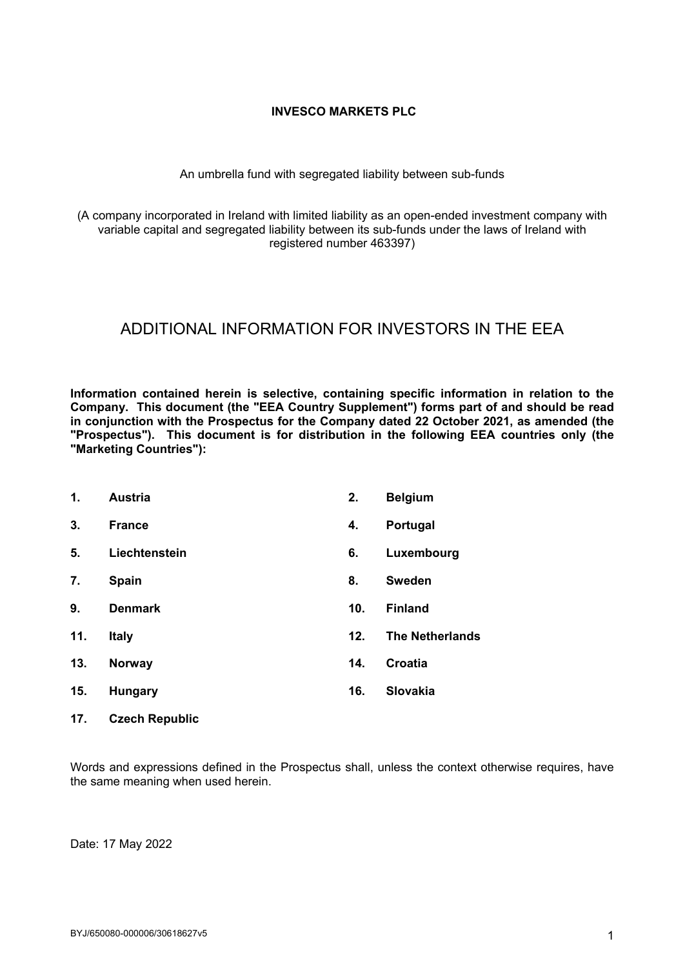## **INVESCO MARKETS PLC**

### An umbrella fund with segregated liability between sub-funds

(A company incorporated in Ireland with limited liability as an open-ended investment company with variable capital and segregated liability between its sub-funds under the laws of Ireland with registered number 463397)

# ADDITIONAL INFORMATION FOR INVESTORS IN THE EEA

**Information contained herein is selective, containing specific information in relation to the Company. This document (the "EEA Country Supplement") forms part of and should be read in conjunction with the Prospectus for the Company dated 22 October 2021, as amended (the "Prospectus"). This document is for distribution in the following EEA countries only (the "Marketing Countries"):**

| 1.  | <b>Austria</b> | 2.  | <b>Belgium</b>         |
|-----|----------------|-----|------------------------|
| 3.  | <b>France</b>  | 4.  | Portugal               |
| 5.  | Liechtenstein  | 6.  | Luxembourg             |
| 7.  | <b>Spain</b>   | 8.  | <b>Sweden</b>          |
| 9.  | <b>Denmark</b> | 10. | <b>Finland</b>         |
| 11. | <b>Italy</b>   | 12. | <b>The Netherlands</b> |
| 13. | <b>Norway</b>  | 14. | Croatia                |
| 15. | <b>Hungary</b> | 16. | <b>Slovakia</b>        |
|     |                |     |                        |

**17. Czech Republic**

Words and expressions defined in the Prospectus shall, unless the context otherwise requires, have the same meaning when used herein.

Date: 17 May 2022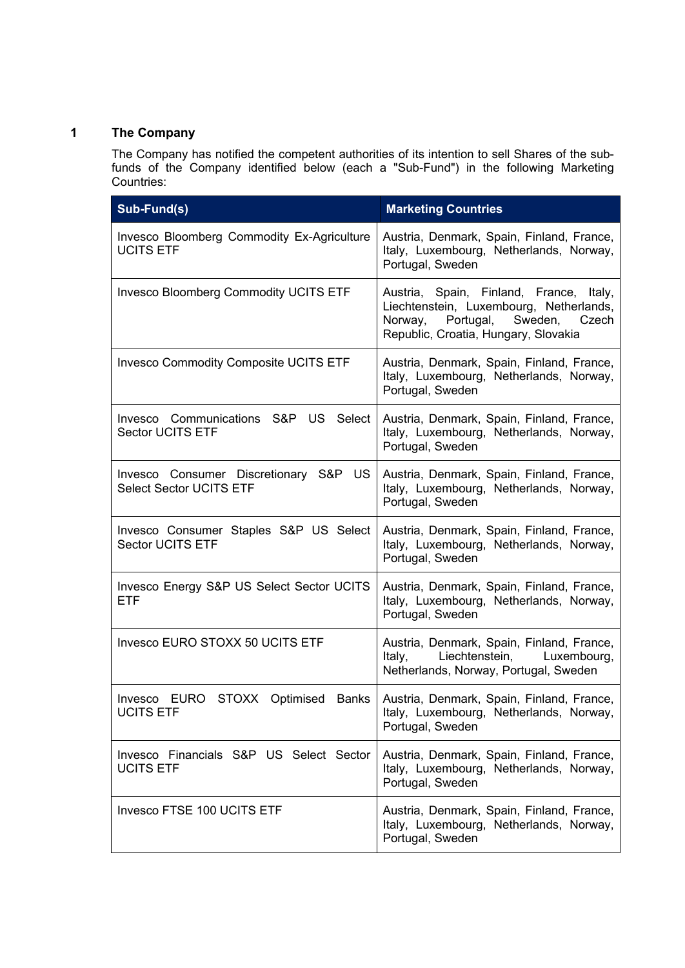# **1 The Company**

The Company has notified the competent authorities of its intention to sell Shares of the subfunds of the Company identified below (each a "Sub-Fund") in the following Marketing Countries:

| Sub-Fund(s)                                                             | <b>Marketing Countries</b>                                                                                                                                             |
|-------------------------------------------------------------------------|------------------------------------------------------------------------------------------------------------------------------------------------------------------------|
| Invesco Bloomberg Commodity Ex-Agriculture<br><b>UCITS ETF</b>          | Austria, Denmark, Spain, Finland, France,<br>Italy, Luxembourg, Netherlands, Norway,<br>Portugal, Sweden                                                               |
| <b>Invesco Bloomberg Commodity UCITS ETF</b>                            | Austria, Spain, Finland, France, Italy,<br>Liechtenstein, Luxembourg, Netherlands,<br>Sweden,<br>Norway,<br>Portugal,<br>Czech<br>Republic, Croatia, Hungary, Slovakia |
| <b>Invesco Commodity Composite UCITS ETF</b>                            | Austria, Denmark, Spain, Finland, France,<br>Italy, Luxembourg, Netherlands, Norway,<br>Portugal, Sweden                                                               |
| Invesco Communications S&P US Select<br><b>Sector UCITS ETF</b>         | Austria, Denmark, Spain, Finland, France,<br>Italy, Luxembourg, Netherlands, Norway,<br>Portugal, Sweden                                                               |
| Invesco Consumer Discretionary S&P US<br><b>Select Sector UCITS ETF</b> | Austria, Denmark, Spain, Finland, France,<br>Italy, Luxembourg, Netherlands, Norway,<br>Portugal, Sweden                                                               |
| Invesco Consumer Staples S&P US Select<br><b>Sector UCITS ETF</b>       | Austria, Denmark, Spain, Finland, France,<br>Italy, Luxembourg, Netherlands, Norway,<br>Portugal, Sweden                                                               |
| Invesco Energy S&P US Select Sector UCITS<br><b>ETF</b>                 | Austria, Denmark, Spain, Finland, France,<br>Italy, Luxembourg, Netherlands, Norway,<br>Portugal, Sweden                                                               |
| Invesco EURO STOXX 50 UCITS ETF                                         | Austria, Denmark, Spain, Finland, France,<br>Liechtenstein, Luxembourg,<br>Italy,<br>Netherlands, Norway, Portugal, Sweden                                             |
| Invesco EURO STOXX Optimised Banks<br><b>UCITS ETF</b>                  | Austria, Denmark, Spain, Finland, France,<br>Italy, Luxembourg, Netherlands, Norway,<br>Portugal, Sweden                                                               |
| Invesco Financials S&P US Select Sector<br><b>UCITS ETF</b>             | Austria, Denmark, Spain, Finland, France,<br>Italy, Luxembourg, Netherlands, Norway,<br>Portugal, Sweden                                                               |
| Invesco FTSE 100 UCITS ETF                                              | Austria, Denmark, Spain, Finland, France,<br>Italy, Luxembourg, Netherlands, Norway,<br>Portugal, Sweden                                                               |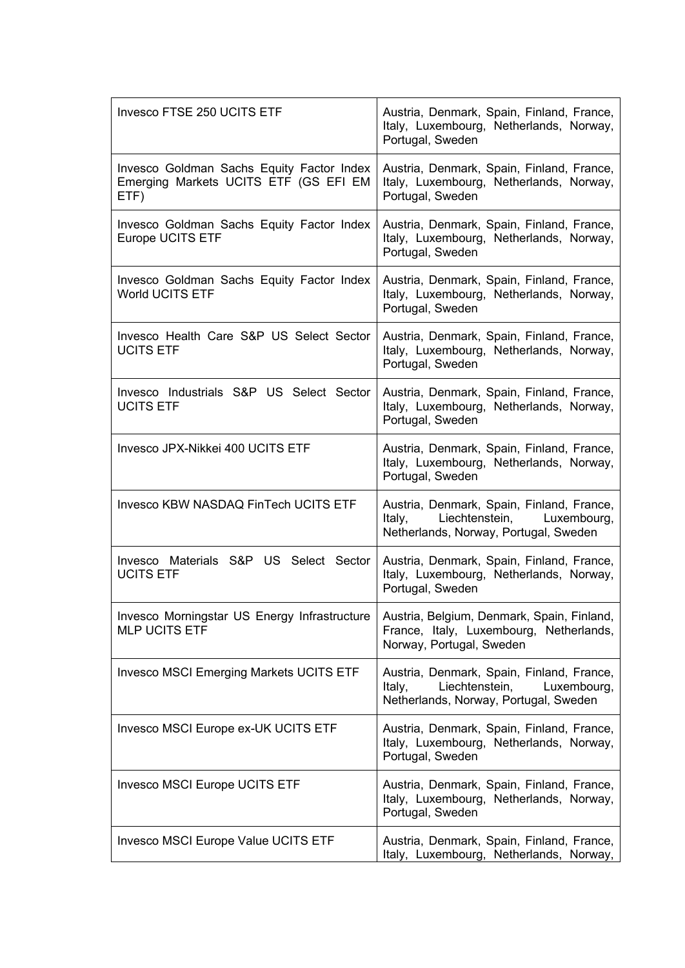| <b>Invesco FTSE 250 UCITS ETF</b>                                                          | Austria, Denmark, Spain, Finland, France,<br>Italy, Luxembourg, Netherlands, Norway,<br>Portugal, Sweden                      |
|--------------------------------------------------------------------------------------------|-------------------------------------------------------------------------------------------------------------------------------|
| Invesco Goldman Sachs Equity Factor Index<br>Emerging Markets UCITS ETF (GS EFI EM<br>ETF) | Austria, Denmark, Spain, Finland, France,<br>Italy, Luxembourg, Netherlands, Norway,<br>Portugal, Sweden                      |
| Invesco Goldman Sachs Equity Factor Index<br><b>Europe UCITS ETF</b>                       | Austria, Denmark, Spain, Finland, France,<br>Italy, Luxembourg, Netherlands, Norway,<br>Portugal, Sweden                      |
| Invesco Goldman Sachs Equity Factor Index<br><b>World UCITS ETF</b>                        | Austria, Denmark, Spain, Finland, France,<br>Italy, Luxembourg, Netherlands, Norway,<br>Portugal, Sweden                      |
| Invesco Health Care S&P US Select Sector<br><b>UCITS ETF</b>                               | Austria, Denmark, Spain, Finland, France,<br>Italy, Luxembourg, Netherlands, Norway,<br>Portugal, Sweden                      |
| Invesco Industrials S&P US Select Sector<br><b>UCITS ETF</b>                               | Austria, Denmark, Spain, Finland, France,<br>Italy, Luxembourg, Netherlands, Norway,<br>Portugal, Sweden                      |
| Invesco JPX-Nikkei 400 UCITS ETF                                                           | Austria, Denmark, Spain, Finland, France,<br>Italy, Luxembourg, Netherlands, Norway,<br>Portugal, Sweden                      |
| Invesco KBW NASDAQ FinTech UCITS ETF                                                       | Austria, Denmark, Spain, Finland, France,<br>Liechtenstein, Luxembourg,<br>Italy,<br>Netherlands, Norway, Portugal, Sweden    |
| Invesco Materials S&P US Select Sector<br><b>UCITS ETF</b>                                 | Austria, Denmark, Spain, Finland, France,<br>Italy, Luxembourg, Netherlands, Norway,<br>Portugal, Sweden                      |
| Invesco Morningstar US Energy Infrastructure<br><b>MLP UCITS ETF</b>                       | Austria, Belgium, Denmark, Spain, Finland,<br>France, Italy, Luxembourg, Netherlands,<br>Norway, Portugal, Sweden             |
| <b>Invesco MSCI Emerging Markets UCITS ETF</b>                                             | Austria, Denmark, Spain, Finland, France,<br>Liechtenstein,<br>Luxembourg,<br>Italy,<br>Netherlands, Norway, Portugal, Sweden |
| Invesco MSCI Europe ex-UK UCITS ETF                                                        | Austria, Denmark, Spain, Finland, France,<br>Italy, Luxembourg, Netherlands, Norway,<br>Portugal, Sweden                      |
| <b>Invesco MSCI Europe UCITS ETF</b>                                                       | Austria, Denmark, Spain, Finland, France,<br>Italy, Luxembourg, Netherlands, Norway,<br>Portugal, Sweden                      |
| <b>Invesco MSCI Europe Value UCITS ETF</b>                                                 | Austria, Denmark, Spain, Finland, France,<br>Italy, Luxembourg, Netherlands, Norway,                                          |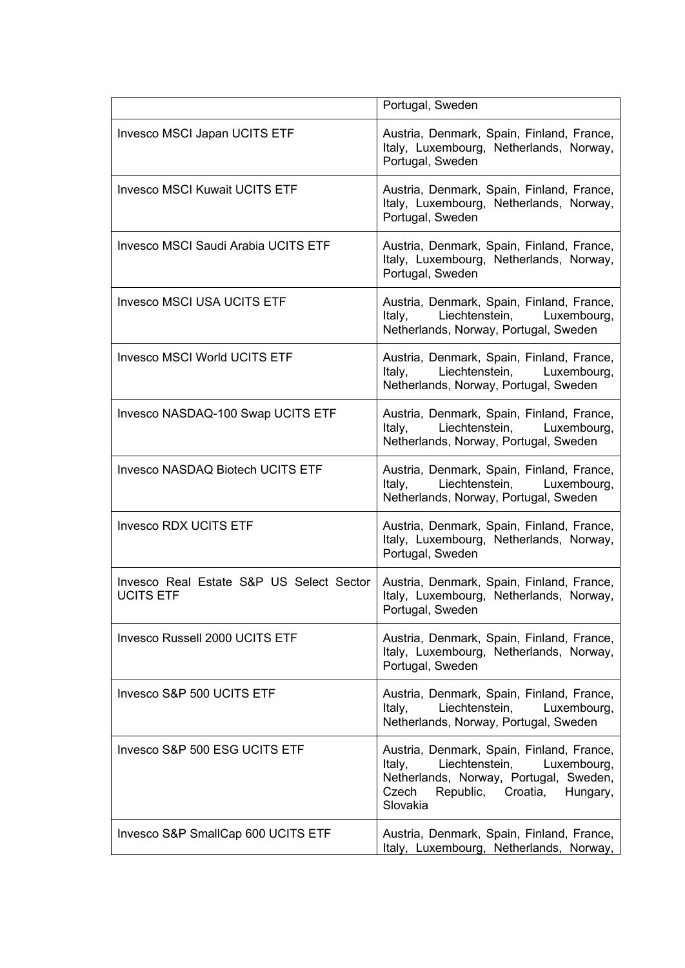|                                                              | Portugal, Sweden                                                                                                                                                                         |
|--------------------------------------------------------------|------------------------------------------------------------------------------------------------------------------------------------------------------------------------------------------|
| Invesco MSCI Japan UCITS ETF                                 | Austria, Denmark, Spain, Finland, France,<br>Italy, Luxembourg, Netherlands, Norway,<br>Portugal, Sweden                                                                                 |
| <b>Invesco MSCI Kuwait UCITS ETF</b>                         | Austria, Denmark, Spain, Finland, France,<br>Italy, Luxembourg, Netherlands, Norway,<br>Portugal, Sweden                                                                                 |
| <b>Invesco MSCI Saudi Arabia UCITS ETF</b>                   | Austria, Denmark, Spain, Finland, France,<br>Italy, Luxembourg, Netherlands, Norway,<br>Portugal, Sweden                                                                                 |
| <b>Invesco MSCI USA UCITS ETF</b>                            | Austria, Denmark, Spain, Finland, France,<br>Liechtenstein, Luxembourg,<br>Italy,<br>Netherlands, Norway, Portugal, Sweden                                                               |
| <b>Invesco MSCI World UCITS ETF</b>                          | Austria, Denmark, Spain, Finland, France,<br>Liechtenstein, Luxembourg,<br>Italy,<br>Netherlands, Norway, Portugal, Sweden                                                               |
| Invesco NASDAQ-100 Swap UCITS ETF                            | Austria, Denmark, Spain, Finland, France,<br>Italy,<br>Liechtenstein,<br>Luxembourg,<br>Netherlands, Norway, Portugal, Sweden                                                            |
| <b>Invesco NASDAQ Biotech UCITS ETF</b>                      | Austria, Denmark, Spain, Finland, France,<br>Liechtenstein, Luxembourg,<br>Italy,<br>Netherlands, Norway, Portugal, Sweden                                                               |
| <b>Invesco RDX UCITS ETF</b>                                 | Austria, Denmark, Spain, Finland, France,<br>Italy, Luxembourg, Netherlands, Norway,<br>Portugal, Sweden                                                                                 |
| Invesco Real Estate S&P US Select Sector<br><b>UCITS ETF</b> | Austria, Denmark, Spain, Finland, France,<br>Italy, Luxembourg, Netherlands, Norway,<br>Portugal, Sweden                                                                                 |
| Invesco Russell 2000 UCITS ETF                               | Austria, Denmark, Spain, Finland, France,<br>Italy, Luxembourg, Netherlands, Norway,<br>Portugal, Sweden                                                                                 |
| Invesco S&P 500 UCITS ETF                                    | Austria, Denmark, Spain, Finland, France,<br>Liechtenstein,<br>Italy,<br>Luxembourg,<br>Netherlands, Norway, Portugal, Sweden                                                            |
| Invesco S&P 500 ESG UCITS ETF                                | Austria, Denmark, Spain, Finland, France,<br>Liechtenstein,<br>Luxembourg,<br>Italy,<br>Netherlands, Norway, Portugal, Sweden,<br>Czech<br>Croatia,<br>Republic,<br>Hungary,<br>Slovakia |
| Invesco S&P SmallCap 600 UCITS ETF                           | Austria, Denmark, Spain, Finland, France,<br>Italy, Luxembourg, Netherlands, Norway,                                                                                                     |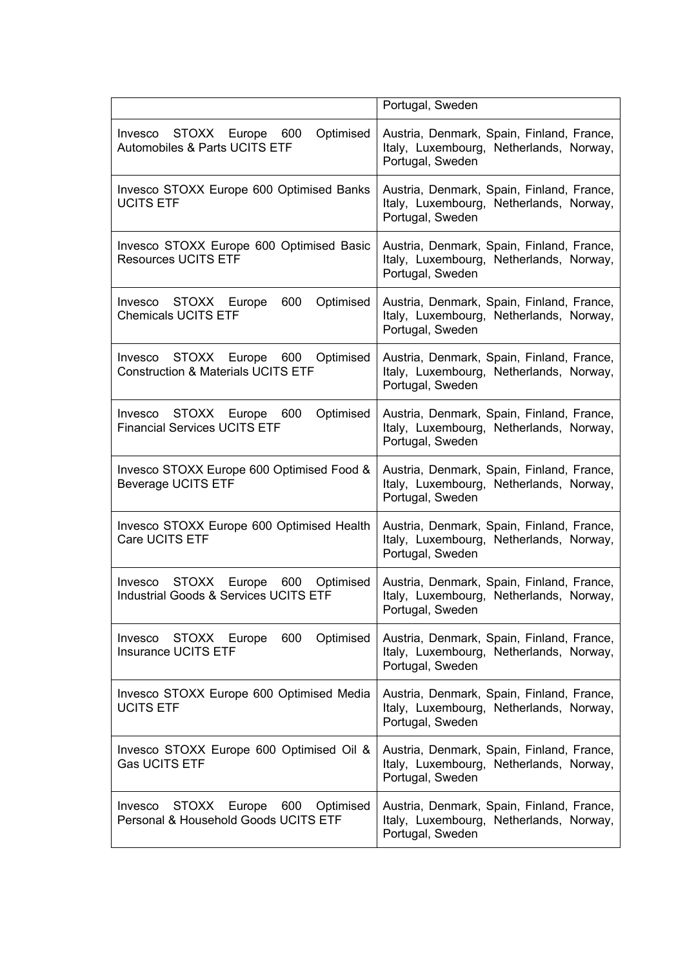|                                                                                           | Portugal, Sweden                                                                                         |
|-------------------------------------------------------------------------------------------|----------------------------------------------------------------------------------------------------------|
| Optimised<br>Invesco STOXX Europe 600<br>Automobiles & Parts UCITS ETF                    | Austria, Denmark, Spain, Finland, France,<br>Italy, Luxembourg, Netherlands, Norway,<br>Portugal, Sweden |
| Invesco STOXX Europe 600 Optimised Banks<br><b>UCITS ETF</b>                              | Austria, Denmark, Spain, Finland, France,<br>Italy, Luxembourg, Netherlands, Norway,<br>Portugal, Sweden |
| Invesco STOXX Europe 600 Optimised Basic<br><b>Resources UCITS ETF</b>                    | Austria, Denmark, Spain, Finland, France,<br>Italy, Luxembourg, Netherlands, Norway,<br>Portugal, Sweden |
| Optimised<br>Invesco STOXX Europe<br>600<br><b>Chemicals UCITS ETF</b>                    | Austria, Denmark, Spain, Finland, France,<br>Italy, Luxembourg, Netherlands, Norway,<br>Portugal, Sweden |
| STOXX Europe 600<br>Optimised<br>Invesco<br><b>Construction &amp; Materials UCITS ETF</b> | Austria, Denmark, Spain, Finland, France,<br>Italy, Luxembourg, Netherlands, Norway,<br>Portugal, Sweden |
| Optimised<br>Invesco STOXX Europe 600<br><b>Financial Services UCITS ETF</b>              | Austria, Denmark, Spain, Finland, France,<br>Italy, Luxembourg, Netherlands, Norway,<br>Portugal, Sweden |
| Invesco STOXX Europe 600 Optimised Food &<br><b>Beverage UCITS ETF</b>                    | Austria, Denmark, Spain, Finland, France,<br>Italy, Luxembourg, Netherlands, Norway,<br>Portugal, Sweden |
| Invesco STOXX Europe 600 Optimised Health<br>Care UCITS ETF                               | Austria, Denmark, Spain, Finland, France,<br>Italy, Luxembourg, Netherlands, Norway,<br>Portugal, Sweden |
| STOXX Europe 600<br>Optimised<br>Invesco<br>Industrial Goods & Services UCITS ETF         | Austria, Denmark, Spain, Finland, France,<br>Italy, Luxembourg, Netherlands, Norway,<br>Portugal, Sweden |
| 600<br>Optimised<br>STOXX Europe<br>Invesco<br><b>Insurance UCITS ETF</b>                 | Austria, Denmark, Spain, Finland, France,<br>Italy, Luxembourg, Netherlands, Norway,<br>Portugal, Sweden |
| Invesco STOXX Europe 600 Optimised Media<br><b>UCITS ETF</b>                              | Austria, Denmark, Spain, Finland, France,<br>Italy, Luxembourg, Netherlands, Norway,<br>Portugal, Sweden |
| Invesco STOXX Europe 600 Optimised Oil &<br><b>Gas UCITS ETF</b>                          | Austria, Denmark, Spain, Finland, France,<br>Italy, Luxembourg, Netherlands, Norway,<br>Portugal, Sweden |
| STOXX Europe<br>600<br>Optimised<br>Invesco<br>Personal & Household Goods UCITS ETF       | Austria, Denmark, Spain, Finland, France,<br>Italy, Luxembourg, Netherlands, Norway,<br>Portugal, Sweden |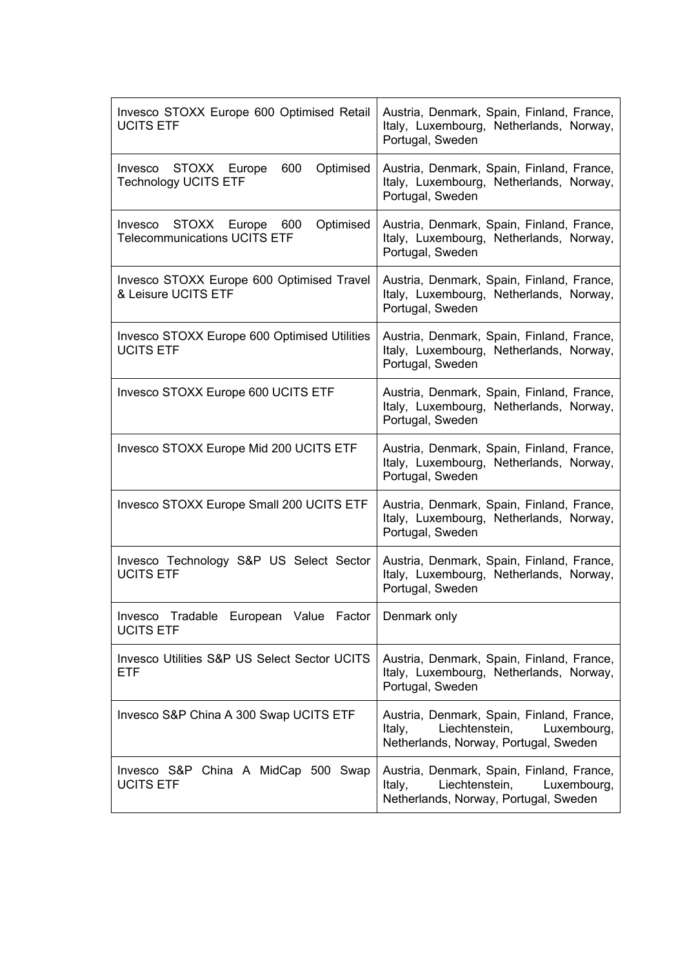| Invesco STOXX Europe 600 Optimised Retail<br><b>UCITS ETF</b>                   | Austria, Denmark, Spain, Finland, France,<br>Italy, Luxembourg, Netherlands, Norway,<br>Portugal, Sweden                      |
|---------------------------------------------------------------------------------|-------------------------------------------------------------------------------------------------------------------------------|
| 600<br>Invesco STOXX Europe<br>Optimised<br><b>Technology UCITS ETF</b>         | Austria, Denmark, Spain, Finland, France,<br>Italy, Luxembourg, Netherlands, Norway,<br>Portugal, Sweden                      |
| STOXX Europe 600<br>Optimised<br>Invesco<br><b>Telecommunications UCITS ETF</b> | Austria, Denmark, Spain, Finland, France,<br>Italy, Luxembourg, Netherlands, Norway,<br>Portugal, Sweden                      |
| Invesco STOXX Europe 600 Optimised Travel<br>& Leisure UCITS ETF                | Austria, Denmark, Spain, Finland, France,<br>Italy, Luxembourg, Netherlands, Norway,<br>Portugal, Sweden                      |
| Invesco STOXX Europe 600 Optimised Utilities<br><b>UCITS ETF</b>                | Austria, Denmark, Spain, Finland, France,<br>Italy, Luxembourg, Netherlands, Norway,<br>Portugal, Sweden                      |
| Invesco STOXX Europe 600 UCITS ETF                                              | Austria, Denmark, Spain, Finland, France,<br>Italy, Luxembourg, Netherlands, Norway,<br>Portugal, Sweden                      |
| Invesco STOXX Europe Mid 200 UCITS ETF                                          | Austria, Denmark, Spain, Finland, France,<br>Italy, Luxembourg, Netherlands, Norway,<br>Portugal, Sweden                      |
| Invesco STOXX Europe Small 200 UCITS ETF                                        | Austria, Denmark, Spain, Finland, France,<br>Italy, Luxembourg, Netherlands, Norway,<br>Portugal, Sweden                      |
| Invesco Technology S&P US Select Sector<br><b>UCITS ETF</b>                     | Austria, Denmark, Spain, Finland, France,<br>Italy, Luxembourg, Netherlands, Norway,<br>Portugal, Sweden                      |
| Tradable European Value Factor<br>Invesco<br><b>UCITS ETF</b>                   | Denmark only                                                                                                                  |
| <b>Invesco Utilities S&amp;P US Select Sector UCITS</b><br><b>ETF</b>           | Austria, Denmark, Spain, Finland, France,<br>Italy, Luxembourg, Netherlands, Norway,<br>Portugal, Sweden                      |
| Invesco S&P China A 300 Swap UCITS ETF                                          | Austria, Denmark, Spain, Finland, France,<br>Liechtenstein,<br>Italy,<br>Luxembourg,<br>Netherlands, Norway, Portugal, Sweden |
| Invesco S&P China A MidCap 500 Swap<br><b>UCITS ETF</b>                         | Austria, Denmark, Spain, Finland, France,<br>Liechtenstein,<br>Luxembourg,<br>Italy,<br>Netherlands, Norway, Portugal, Sweden |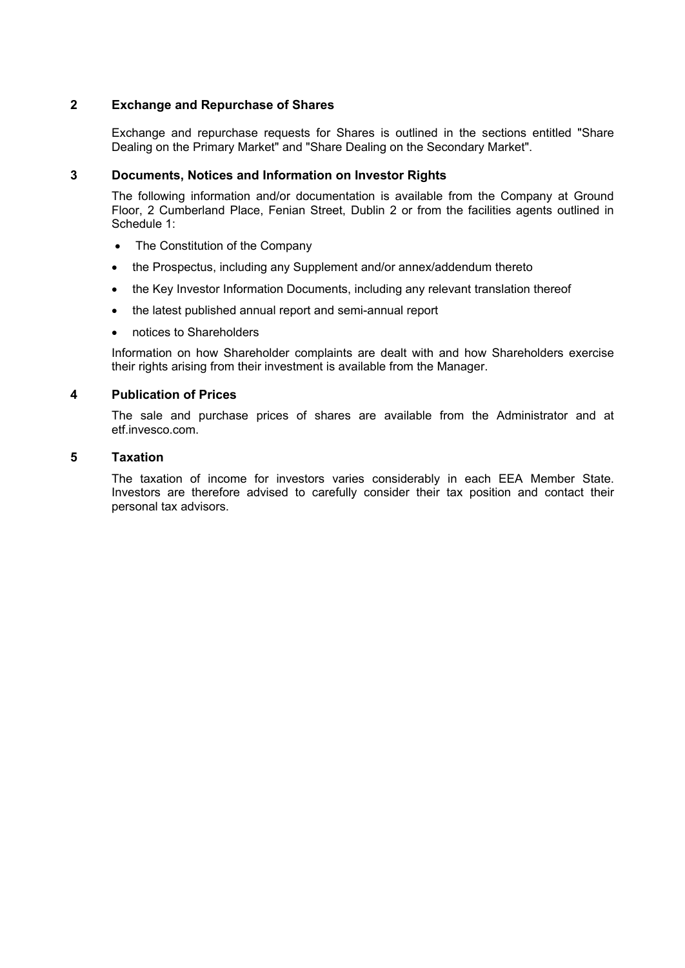# **2 Exchange and Repurchase of Shares**

Exchange and repurchase requests for Shares is outlined in the sections entitled "Share Dealing on the Primary Market" and "Share Dealing on the Secondary Market".

### **3 Documents, Notices and Information on Investor Rights**

The following information and/or documentation is available from the Company at Ground Floor, 2 Cumberland Place, Fenian Street, Dublin 2 or from the facilities agents outlined in Schedule 1:

- The Constitution of the Company
- the Prospectus, including any Supplement and/or annex/addendum thereto
- the Key Investor Information Documents, including any relevant translation thereof
- the latest published annual report and semi-annual report
- notices to Shareholders

Information on how Shareholder complaints are dealt with and how Shareholders exercise their rights arising from their investment is available from the Manager.

## **4 Publication of Prices**

The sale and purchase prices of shares are available from the Administrator and at etf.invesco.com.

### **5 Taxation**

The taxation of income for investors varies considerably in each EEA Member State. Investors are therefore advised to carefully consider their tax position and contact their personal tax advisors.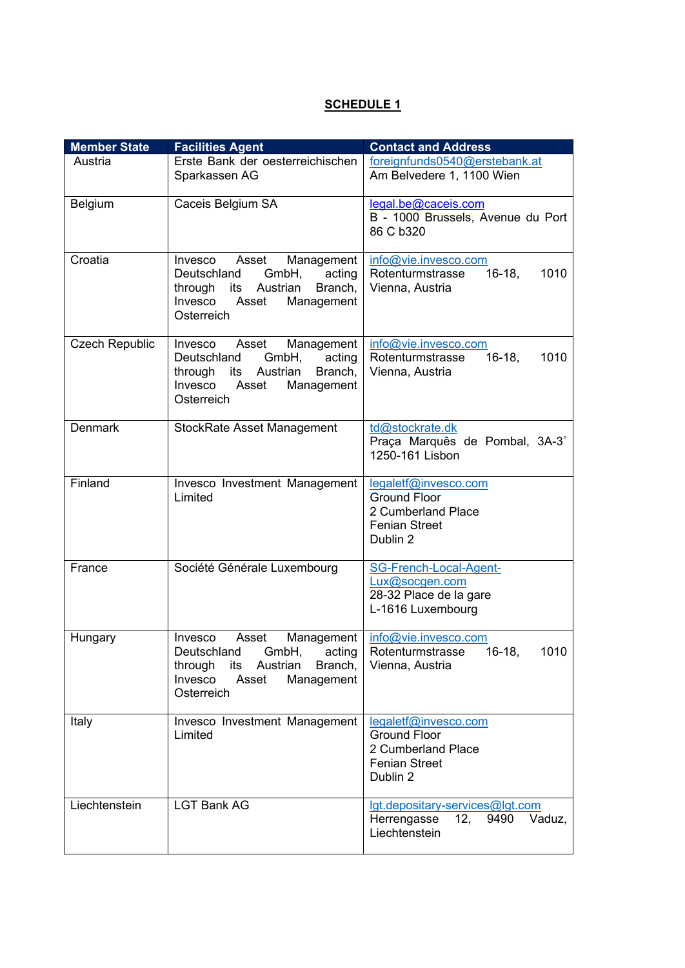# **SCHEDULE 1**

| <b>Member State</b>   | <b>Facilities Agent</b>                                                                                                                                | <b>Contact and Address</b>                                                                            |
|-----------------------|--------------------------------------------------------------------------------------------------------------------------------------------------------|-------------------------------------------------------------------------------------------------------|
| Austria               | Erste Bank der oesterreichischen<br>Sparkassen AG                                                                                                      | foreignfunds0540@erstebank.at<br>Am Belvedere 1, 1100 Wien                                            |
| Belgium               | Caceis Belgium SA                                                                                                                                      | legal.be@caceis.com<br>B - 1000 Brussels, Avenue du Port<br>86 C b320                                 |
| Croatia               | Management<br>Invesco Asset<br>Deutschland<br>GmbH,<br>acting<br>through its Austrian<br>Branch,<br>Invesco Asset<br>Management<br>Osterreich          | info@vie.invesco.com<br>$16-18$ ,<br>1010<br>Rotenturmstrasse<br>Vienna, Austria                      |
| <b>Czech Republic</b> | Asset<br>Management<br>Invesco<br>GmbH,<br>acting<br>Deutschland<br>through<br>its Austrian<br>Branch,<br>Invesco<br>Asset<br>Management<br>Osterreich | info@vie.invesco.com<br>$16-18,$<br>1010<br>Rotenturmstrasse<br>Vienna, Austria                       |
| <b>Denmark</b>        | <b>StockRate Asset Management</b>                                                                                                                      | td@stockrate.dk<br>Praça Marquês de Pombal, 3A-3°<br>1250-161 Lisbon                                  |
| Finland               | Invesco Investment Management<br>Limited                                                                                                               | legaletf@invesco.com<br><b>Ground Floor</b><br>2 Cumberland Place<br><b>Fenian Street</b><br>Dublin 2 |
| France                | Société Générale Luxembourg                                                                                                                            | SG-French-Local-Agent-<br>Lux@socgen.com<br>28-32 Place de la gare<br>L-1616 Luxembourg               |
| Hungary               | Asset<br>Management<br><b>Invesco</b><br>Deutschland GmbH, acting<br>through its Austrian Branch,<br>Management<br>Invesco<br>Asset<br>Osterreich      | info@vie.invesco.com<br>$16-18,$<br>Rotenturmstrasse<br>1010<br>Vienna, Austria                       |
| Italy                 | Invesco Investment Management<br>Limited                                                                                                               | legaletf@invesco.com<br><b>Ground Floor</b><br>2 Cumberland Place<br><b>Fenian Street</b><br>Dublin 2 |
| Liechtenstein         | <b>LGT Bank AG</b>                                                                                                                                     | lgt.depositary-services@lgt.com<br>Herrengasse<br>12, 9490<br>Vaduz,<br>Liechtenstein                 |